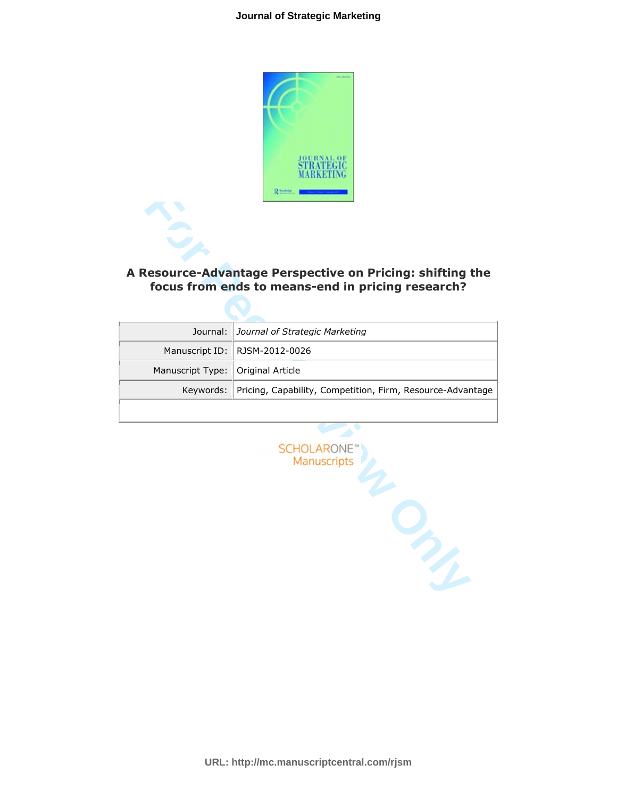

# **A Resource-Advantage Perspective on Pricing: shifting the focus from ends to means-end in pricing research?**

| A Resource-Advantage Perspective on Pricing: shifting the |                                                            |  |  |  |
|-----------------------------------------------------------|------------------------------------------------------------|--|--|--|
| focus from ends to means-end in pricing research?         |                                                            |  |  |  |
|                                                           |                                                            |  |  |  |
| Journal:                                                  | Journal of Strategic Marketing                             |  |  |  |
| Manuscript ID:                                            | RJSM-2012-0026                                             |  |  |  |
| Manuscript Type:                                          | Original Article                                           |  |  |  |
| Keywords:                                                 | Pricing, Capability, Competition, Firm, Resource-Advantage |  |  |  |
|                                                           |                                                            |  |  |  |
|                                                           |                                                            |  |  |  |
| <b>SCHOLARONE</b>                                         |                                                            |  |  |  |
| Manuscripts                                               |                                                            |  |  |  |
|                                                           |                                                            |  |  |  |
|                                                           |                                                            |  |  |  |
|                                                           |                                                            |  |  |  |
|                                                           |                                                            |  |  |  |
|                                                           |                                                            |  |  |  |
|                                                           |                                                            |  |  |  |
|                                                           |                                                            |  |  |  |
|                                                           |                                                            |  |  |  |

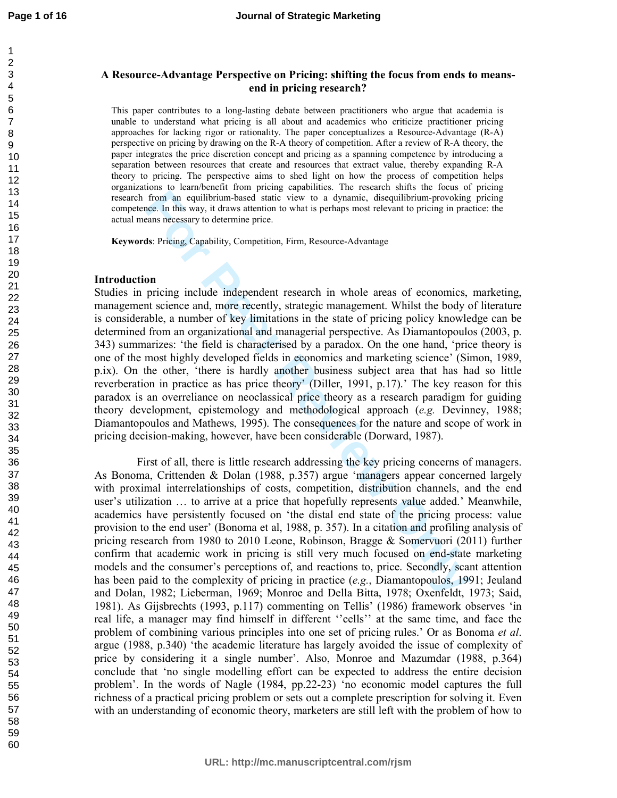## **A Resource-Advantage Perspective on Pricing: shifting the focus from ends to meansend in pricing research?**

This paper contributes to a long-lasting debate between practitioners who argue that academia is unable to understand what pricing is all about and academics who criticize practitioner pricing approaches for lacking rigor or rationality. The paper conceptualizes a Resource-Advantage (R-A) perspective on pricing by drawing on the R-A theory of competition. After a review of R-A theory, the paper integrates the price discretion concept and pricing as a spanning competence by introducing a separation between resources that create and resources that extract value, thereby expanding R-A theory to pricing. The perspective aims to shed light on how the process of competition helps organizations to learn/benefit from pricing capabilities. The research shifts the focus of pricing research from an equilibrium-based static view to a dynamic, disequilibrium-provoking pricing competence. In this way, it draws attention to what is perhaps most relevant to pricing in practice: the actual means necessary to determine price.

**Keywords**: Pricing, Capability, Competition, Firm, Resource-Advantage

### **Introduction**

from an equilibrium-based static view to a dynamic, disequilibrium-provoking<br>near in this way, it draws attention to what is perhaps most relevant to pricing in prace<br>ears necessary to determine price.<br>**Si**: Pricing. Capab Studies in pricing include independent research in whole areas of economics, marketing, management science and, more recently, strategic management. Whilst the body of literature is considerable, a number of key limitations in the state of pricing policy knowledge can be determined from an organizational and managerial perspective. As Diamantopoulos (2003, p. 343) summarizes: 'the field is characterised by a paradox. On the one hand, 'price theory is one of the most highly developed fields in economics and marketing science' (Simon, 1989, p.ix). On the other, 'there is hardly another business subject area that has had so little reverberation in practice as has price theory' (Diller, 1991, p.17).' The key reason for this paradox is an overreliance on neoclassical price theory as a research paradigm for guiding theory development, epistemology and methodological approach (*e.g.* Devinney, 1988; Diamantopoulos and Mathews, 1995). The consequences for the nature and scope of work in pricing decision-making, however, have been considerable (Dorward, 1987).

First of all, there is little research addressing the key pricing concerns of managers. As Bonoma, Crittenden & Dolan (1988, p.357) argue 'managers appear concerned largely with proximal interrelationships of costs, competition, distribution channels, and the end user's utilization … to arrive at a price that hopefully represents value added.' Meanwhile, academics have persistently focused on 'the distal end state of the pricing process: value provision to the end user' (Bonoma et al, 1988, p. 357). In a citation and profiling analysis of pricing research from 1980 to 2010 Leone, Robinson, Bragge & Somervuori (2011) further confirm that academic work in pricing is still very much focused on end-state marketing models and the consumer's perceptions of, and reactions to, price. Secondly, scant attention has been paid to the complexity of pricing in practice (*e.g.*, Diamantopoulos, 1991; Jeuland and Dolan, 1982; Lieberman, 1969; Monroe and Della Bitta, 1978; Oxenfeldt, 1973; Said, 1981). As Gijsbrechts (1993, p.117) commenting on Tellis' (1986) framework observes 'in real life, a manager may find himself in different ''cells'' at the same time, and face the problem of combining various principles into one set of pricing rules.' Or as Bonoma *et al*. argue (1988, p.340) 'the academic literature has largely avoided the issue of complexity of price by considering it a single number'. Also, Monroe and Mazumdar (1988, p.364) conclude that 'no single modelling effort can be expected to address the entire decision problem'. In the words of Nagle (1984, pp.22-23) 'no economic model captures the full richness of a practical pricing problem or sets out a complete prescription for solving it. Even with an understanding of economic theory, marketers are still left with the problem of how to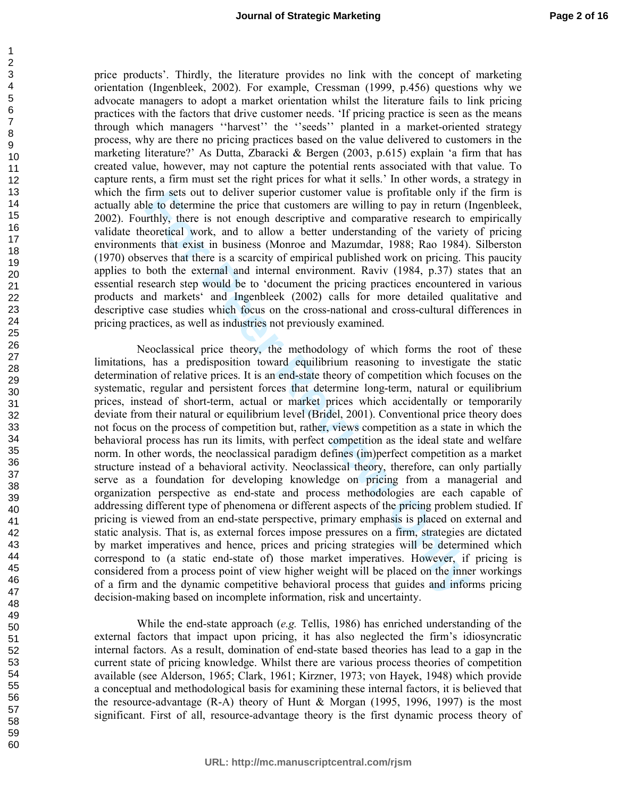price products'. Thirdly, the literature provides no link with the concept of marketing orientation (Ingenbleek, 2002). For example, Cressman (1999, p.456) questions why we advocate managers to adopt a market orientation whilst the literature fails to link pricing practices with the factors that drive customer needs. 'If pricing practice is seen as the means through which managers ''harvest'' the ''seeds'' planted in a market-oriented strategy process, why are there no pricing practices based on the value delivered to customers in the marketing literature?' As Dutta, Zbaracki & Bergen (2003, p.615) explain 'a firm that has created value, however, may not capture the potential rents associated with that value. To capture rents, a firm must set the right prices for what it sells.' In other words, a strategy in which the firm sets out to deliver superior customer value is profitable only if the firm is actually able to determine the price that customers are willing to pay in return (Ingenbleek, 2002). Fourthly, there is not enough descriptive and comparative research to empirically validate theoretical work, and to allow a better understanding of the variety of pricing environments that exist in business (Monroe and Mazumdar, 1988; Rao 1984). Silberston (1970) observes that there is a scarcity of empirical published work on pricing. This paucity applies to both the external and internal environment. Raviv (1984, p.37) states that an essential research step would be to 'document the pricing practices encountered in various products and markets' and Ingenbleek (2002) calls for more detailed qualitative and descriptive case studies which focus on the cross-national and cross-cultural differences in pricing practices, as well as industries not previously examined.

firm sets out to deliver superior customer vialue is probitable only it<br>firm sets out to determine the price that customers are willing to pay in return (<br>trithly, there is not enough descriptive and comparative research t Neoclassical price theory, the methodology of which forms the root of these limitations, has a predisposition toward equilibrium reasoning to investigate the static determination of relative prices. It is an end-state theory of competition which focuses on the systematic, regular and persistent forces that determine long-term, natural or equilibrium prices, instead of short-term, actual or market prices which accidentally or temporarily deviate from their natural or equilibrium level (Bridel, 2001). Conventional price theory does not focus on the process of competition but, rather, views competition as a state in which the behavioral process has run its limits, with perfect competition as the ideal state and welfare norm. In other words, the neoclassical paradigm defines (im)perfect competition as a market structure instead of a behavioral activity. Neoclassical theory, therefore, can only partially serve as a foundation for developing knowledge on pricing from a managerial and organization perspective as end-state and process methodologies are each capable of addressing different type of phenomena or different aspects of the pricing problem studied. If pricing is viewed from an end-state perspective, primary emphasis is placed on external and static analysis. That is, as external forces impose pressures on a firm, strategies are dictated by market imperatives and hence, prices and pricing strategies will be determined which correspond to (a static end-state of) those market imperatives. However, if pricing is considered from a process point of view higher weight will be placed on the inner workings of a firm and the dynamic competitive behavioral process that guides and informs pricing decision-making based on incomplete information, risk and uncertainty.

While the end-state approach (*e.g.* Tellis, 1986) has enriched understanding of the external factors that impact upon pricing, it has also neglected the firm's idiosyncratic internal factors. As a result, domination of end-state based theories has lead to a gap in the current state of pricing knowledge. Whilst there are various process theories of competition available (see Alderson, 1965; Clark, 1961; Kirzner, 1973; von Hayek, 1948) which provide a conceptual and methodological basis for examining these internal factors, it is believed that the resource-advantage  $(R-A)$  theory of Hunt & Morgan  $(1995, 1996, 1997)$  is the most significant. First of all, resource-advantage theory is the first dynamic process theory of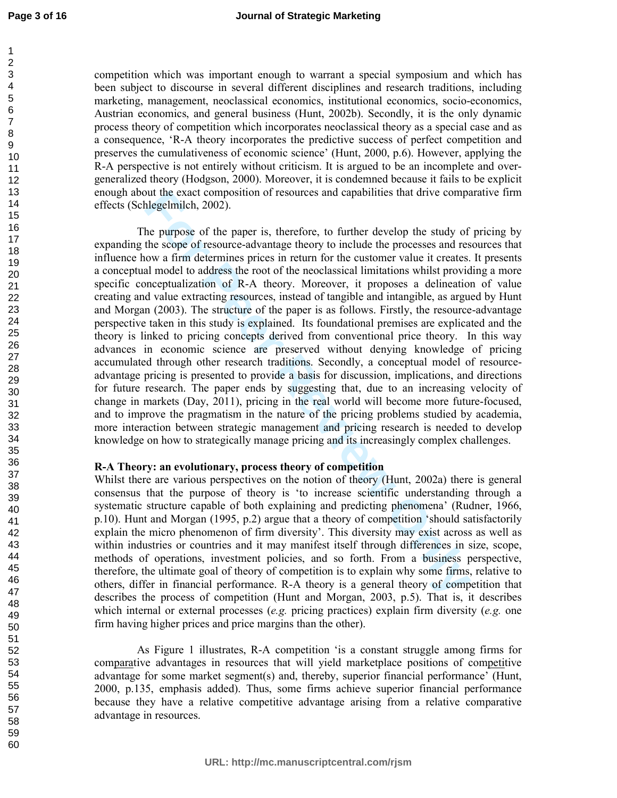competition which was important enough to warrant a special symposium and which has been subject to discourse in several different disciplines and research traditions, including marketing, management, neoclassical economics, institutional economics, socio-economics, Austrian economics, and general business (Hunt, 2002b). Secondly, it is the only dynamic process theory of competition which incorporates neoclassical theory as a special case and as a consequence, 'R-A theory incorporates the predictive success of perfect competition and preserves the cumulativeness of economic science' (Hunt, 2000, p.6). However, applying the R-A perspective is not entirely without criticism. It is argued to be an incomplete and overgeneralized theory (Hodgson, 2000). Moreover, it is condemned because it fails to be explicit enough about the exact composition of resources and capabilities that drive comparative firm effects (Schlegelmilch, 2002).

old the exact composition of resources and capabilities that divve comparing helgelmilch, 2002).<br>
He purpose of the paper is, therefore, to further develop the study of<br>
the scope of resource-advantage theory to include th The purpose of the paper is, therefore, to further develop the study of pricing by expanding the scope of resource-advantage theory to include the processes and resources that influence how a firm determines prices in return for the customer value it creates. It presents a conceptual model to address the root of the neoclassical limitations whilst providing a more specific conceptualization of R-A theory. Moreover, it proposes a delineation of value creating and value extracting resources, instead of tangible and intangible, as argued by Hunt and Morgan (2003). The structure of the paper is as follows. Firstly, the resource-advantage perspective taken in this study is explained. Its foundational premises are explicated and the theory is linked to pricing concepts derived from conventional price theory. In this way advances in economic science are preserved without denying knowledge of pricing accumulated through other research traditions. Secondly, a conceptual model of resourceadvantage pricing is presented to provide a basis for discussion, implications, and directions for future research. The paper ends by suggesting that, due to an increasing velocity of change in markets (Day, 2011), pricing in the real world will become more future-focused, and to improve the pragmatism in the nature of the pricing problems studied by academia, more interaction between strategic management and pricing research is needed to develop knowledge on how to strategically manage pricing and its increasingly complex challenges.

### **R-A Theory: an evolutionary, process theory of competition**

Whilst there are various perspectives on the notion of theory (Hunt, 2002a) there is general consensus that the purpose of theory is 'to increase scientific understanding through a systematic structure capable of both explaining and predicting phenomena' (Rudner, 1966, p.10). Hunt and Morgan (1995, p.2) argue that a theory of competition 'should satisfactorily explain the micro phenomenon of firm diversity'. This diversity may exist across as well as within industries or countries and it may manifest itself through differences in size, scope, methods of operations, investment policies, and so forth. From a business perspective, therefore, the ultimate goal of theory of competition is to explain why some firms, relative to others, differ in financial performance. R-A theory is a general theory of competition that describes the process of competition (Hunt and Morgan, 2003, p.5). That is, it describes which internal or external processes (*e.g.* pricing practices) explain firm diversity (*e.g.* one firm having higher prices and price margins than the other).

As Figure 1 illustrates, R-A competition 'is a constant struggle among firms for comparative advantages in resources that will yield marketplace positions of competitive advantage for some market segment(s) and, thereby, superior financial performance' (Hunt, 2000, p.135, emphasis added). Thus, some firms achieve superior financial performance because they have a relative competitive advantage arising from a relative comparative advantage in resources.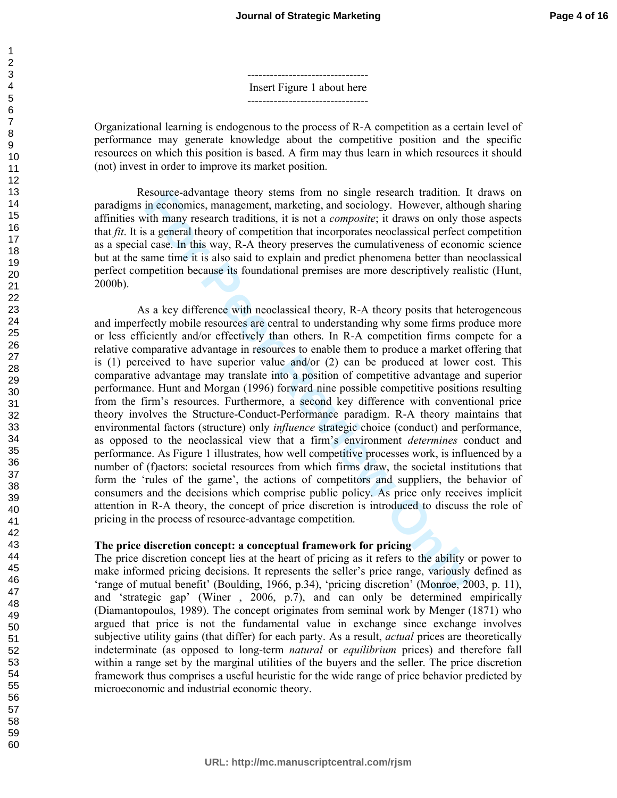-------------------------------- Insert Figure 1 about here --------------------------------

Organizational learning is endogenous to the process of R-A competition as a certain level of performance may generate knowledge about the competitive position and the specific resources on which this position is based. A firm may thus learn in which resources it should (not) invest in order to improve its market position.

Resource-advantage theory stems from no single research tradition. It draws on paradigms in economics, management, marketing, and sociology. However, although sharing affinities with many research traditions, it is not a *composite*; it draws on only those aspects that *fit*. It is a general theory of competition that incorporates neoclassical perfect competition as a special case. In this way, R-A theory preserves the cumulativeness of economic science but at the same time it is also said to explain and predict phenomena better than neoclassical perfect competition because its foundational premises are more descriptively realistic (Hunt, 2000b).

isource-advantage theory stems from no single research tradition. It<br>in economics, management, marketing, and sociology. However, althouth<br>ith many research traditions, it is not a *composite*; it draws on only the<br>ith man As a key difference with neoclassical theory, R-A theory posits that heterogeneous and imperfectly mobile resources are central to understanding why some firms produce more or less efficiently and/or effectively than others. In R-A competition firms compete for a relative comparative advantage in resources to enable them to produce a market offering that is (1) perceived to have superior value and/or (2) can be produced at lower cost. This comparative advantage may translate into a position of competitive advantage and superior performance. Hunt and Morgan (1996) forward nine possible competitive positions resulting from the firm's resources. Furthermore, a second key difference with conventional price theory involves the Structure-Conduct-Performance paradigm. R-A theory maintains that environmental factors (structure) only *influence* strategic choice (conduct) and performance, as opposed to the neoclassical view that a firm's environment *determines* conduct and performance. As Figure 1 illustrates, how well competitive processes work, is influenced by a number of (f)actors: societal resources from which firms draw, the societal institutions that form the 'rules of the game', the actions of competitors and suppliers, the behavior of consumers and the decisions which comprise public policy. As price only receives implicit attention in R-A theory, the concept of price discretion is introduced to discuss the role of pricing in the process of resource-advantage competition.

#### **The price discretion concept: a conceptual framework for pricing**

The price discretion concept lies at the heart of pricing as it refers to the ability or power to make informed pricing decisions. It represents the seller's price range, variously defined as 'range of mutual benefit' (Boulding, 1966, p.34), 'pricing discretion' (Monroe, 2003, p. 11), and 'strategic gap' (Winer , 2006, p.7), and can only be determined empirically (Diamantopoulos, 1989). The concept originates from seminal work by Menger (1871) who argued that price is not the fundamental value in exchange since exchange involves subjective utility gains (that differ) for each party. As a result, *actual* prices are theoretically indeterminate (as opposed to long-term *natural* or *equilibrium* prices) and therefore fall within a range set by the marginal utilities of the buyers and the seller. The price discretion framework thus comprises a useful heuristic for the wide range of price behavior predicted by microeconomic and industrial economic theory.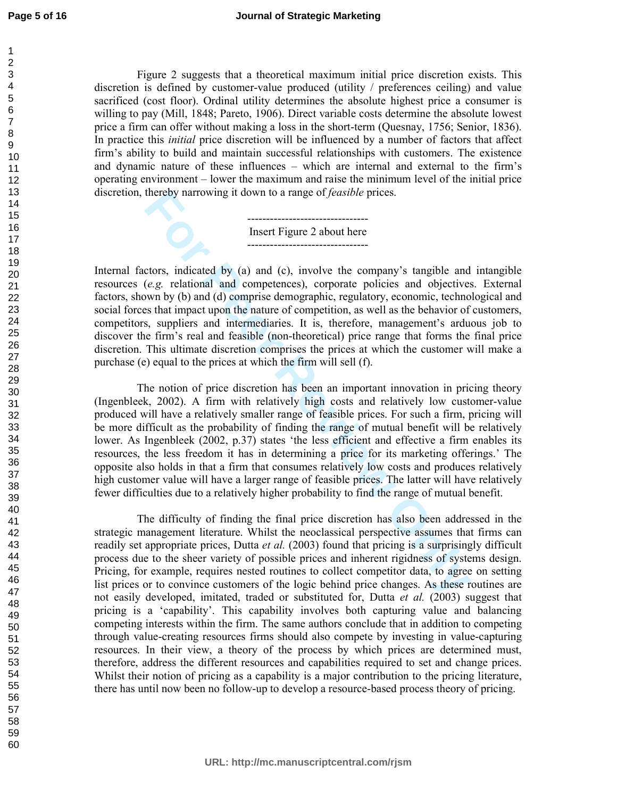#### **Journal of Strategic Marketing**

Figure 2 suggests that a theoretical maximum initial price discretion exists. This discretion is defined by customer-value produced (utility / preferences ceiling) and value sacrificed (cost floor). Ordinal utility determines the absolute highest price a consumer is willing to pay (Mill, 1848; Pareto, 1906). Direct variable costs determine the absolute lowest price a firm can offer without making a loss in the short-term (Quesnay, 1756; Senior, 1836). In practice this *initial* price discretion will be influenced by a number of factors that affect firm's ability to build and maintain successful relationships with customers. The existence and dynamic nature of these influences – which are internal and external to the firm's operating environment – lower the maximum and raise the minimum level of the initial price discretion, thereby narrowing it down to a range of *feasible* prices.

> -------------------------------- Insert Figure 2 about here --------------------------------

Internal factors, indicated by (a) and (c), involve the company's tangible and intangible resources (*e.g.* relational and competences), corporate policies and objectives. External factors, shown by (b) and (d) comprise demographic, regulatory, economic, technological and social forces that impact upon the nature of competition, as well as the behavior of customers, competitors, suppliers and intermediaries. It is, therefore, management's arduous job to discover the firm's real and feasible (non-theoretical) price range that forms the final price discretion. This ultimate discretion comprises the prices at which the customer will make a purchase (e) equal to the prices at which the firm will sell (f).

thereby narrowing it down to a range of *Jeasible* prices.<br> **Formally the mass in the mass in the constrained** by (a) and (c), involve the company's tangible and<br>
c(e.g. relational and comptences), corporate policies and o The notion of price discretion has been an important innovation in pricing theory (Ingenbleek, 2002). A firm with relatively high costs and relatively low customer-value produced will have a relatively smaller range of feasible prices. For such a firm, pricing will be more difficult as the probability of finding the range of mutual benefit will be relatively lower. As Ingenbleek (2002, p.37) states 'the less efficient and effective a firm enables its resources, the less freedom it has in determining a price for its marketing offerings.' The opposite also holds in that a firm that consumes relatively low costs and produces relatively high customer value will have a larger range of feasible prices. The latter will have relatively fewer difficulties due to a relatively higher probability to find the range of mutual benefit.

The difficulty of finding the final price discretion has also been addressed in the strategic management literature. Whilst the neoclassical perspective assumes that firms can readily set appropriate prices, Dutta *et al.* (2003) found that pricing is a surprisingly difficult process due to the sheer variety of possible prices and inherent rigidness of systems design. Pricing, for example, requires nested routines to collect competitor data, to agree on setting list prices or to convince customers of the logic behind price changes. As these routines are not easily developed, imitated, traded or substituted for, Dutta *et al.* (2003) suggest that pricing is a 'capability'. This capability involves both capturing value and balancing competing interests within the firm. The same authors conclude that in addition to competing through value-creating resources firms should also compete by investing in value-capturing resources. In their view, a theory of the process by which prices are determined must, therefore, address the different resources and capabilities required to set and change prices. Whilst their notion of pricing as a capability is a major contribution to the pricing literature, there has until now been no follow-up to develop a resource-based process theory of pricing.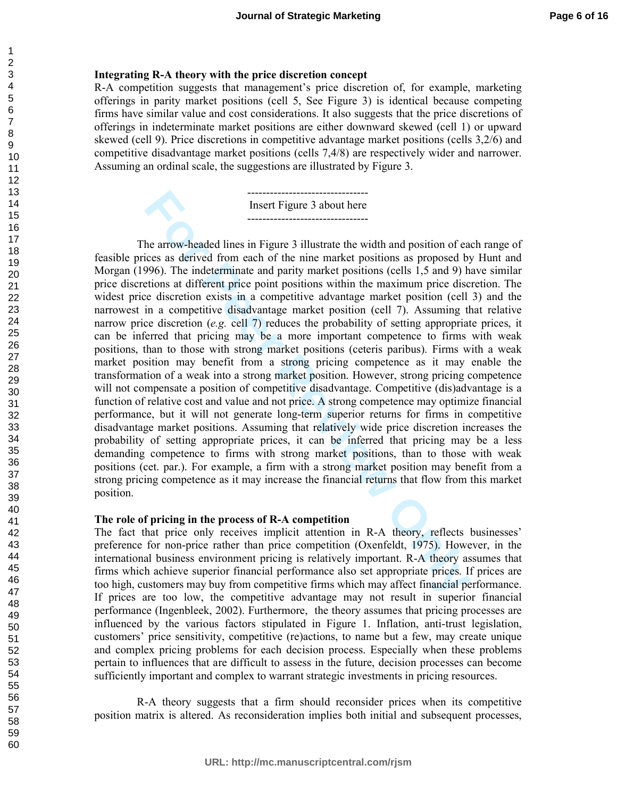#### **Integrating R-A theory with the price discretion concept**

R-A competition suggests that management's price discretion of, for example, marketing offerings in parity market positions (cell 5, See Figure 3) is identical because competing firms have similar value and cost considerations. It also suggests that the price discretions of offerings in indeterminate market positions are either downward skewed (cell 1) or upward skewed (cell 9). Price discretions in competitive advantage market positions (cells 3,2/6) and competitive disadvantage market positions (cells 7,4/8) are respectively wider and narrower. Assuming an ordinal scale, the suggestions are illustrated by Figure 3.

--------------------------------

Insert Figure 3 about here --------------------------------

**Example 1 For Example 1 For Complementary and The Act (Tranger 3 For 1 For the active System** and particular and particular and particular and particular and particular and particular and particular stills in the The arrow-headed lines in Figure 3 illustrate the width and position of each range of feasible prices as derived from each of the nine market positions as proposed by Hunt and Morgan (1996). The indeterminate and parity market positions (cells 1,5 and 9) have similar price discretions at different price point positions within the maximum price discretion. The widest price discretion exists in a competitive advantage market position (cell 3) and the narrowest in a competitive disadvantage market position (cell 7). Assuming that relative narrow price discretion (*e.g.* cell 7) reduces the probability of setting appropriate prices, it can be inferred that pricing may be a more important competence to firms with weak positions, than to those with strong market positions (ceteris paribus). Firms with a weak market position may benefit from a strong pricing competence as it may enable the transformation of a weak into a strong market position. However, strong pricing competence will not compensate a position of competitive disadvantage. Competitive (dis)advantage is a function of relative cost and value and not price. A strong competence may optimize financial performance, but it will not generate long-term superior returns for firms in competitive disadvantage market positions. Assuming that relatively wide price discretion increases the probability of setting appropriate prices, it can be inferred that pricing may be a less demanding competence to firms with strong market positions, than to those with weak positions (cet. par.). For example, a firm with a strong market position may benefit from a strong pricing competence as it may increase the financial returns that flow from this market position.

### **The role of pricing in the process of R-A competition**

The fact that price only receives implicit attention in R-A theory, reflects businesses' preference for non-price rather than price competition (Oxenfeldt, 1975). However, in the international business environment pricing is relatively important. R-A theory assumes that firms which achieve superior financial performance also set appropriate prices. If prices are too high, customers may buy from competitive firms which may affect financial performance. If prices are too low, the competitive advantage may not result in superior financial performance (Ingenbleek, 2002). Furthermore, the theory assumes that pricing processes are influenced by the various factors stipulated in Figure 1. Inflation, anti-trust legislation, customers' price sensitivity, competitive (re)actions, to name but a few, may create unique and complex pricing problems for each decision process. Especially when these problems pertain to influences that are difficult to assess in the future, decision processes can become sufficiently important and complex to warrant strategic investments in pricing resources.

R-A theory suggests that a firm should reconsider prices when its competitive position matrix is altered. As reconsideration implies both initial and subsequent processes,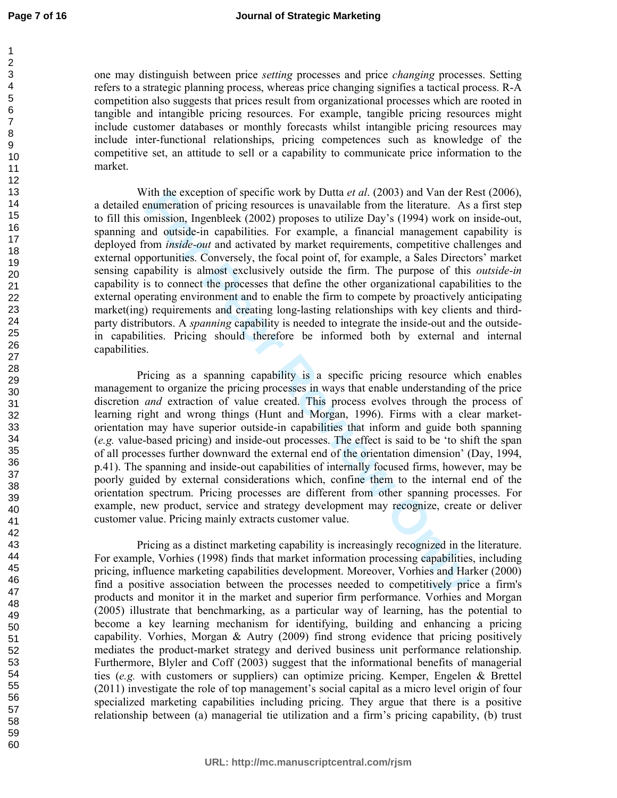one may distinguish between price *setting* processes and price *changing* processes. Setting refers to a strategic planning process, whereas price changing signifies a tactical process. R-A competition also suggests that prices result from organizational processes which are rooted in tangible and intangible pricing resources. For example, tangible pricing resources might include customer databases or monthly forecasts whilst intangible pricing resources may include inter-functional relationships, pricing competences such as knowledge of the competitive set, an attitude to sell or a capability to communicate price information to the market.

The exception of specific work by Dutta *et al.* (2003) and van der Review on the reaction of pricing resources is unavailable from the literature. As omission, Ingenbleek (2002) proposes to utilize Day's (1994) work on co With the exception of specific work by Dutta *et al*. (2003) and Van der Rest (2006), a detailed enumeration of pricing resources is unavailable from the literature. As a first step to fill this omission, Ingenbleek (2002) proposes to utilize Day's (1994) work on inside-out, spanning and outside-in capabilities. For example, a financial management capability is deployed from *inside-out* and activated by market requirements, competitive challenges and external opportunities. Conversely, the focal point of, for example, a Sales Directors' market sensing capability is almost exclusively outside the firm. The purpose of this *outside-in* capability is to connect the processes that define the other organizational capabilities to the external operating environment and to enable the firm to compete by proactively anticipating market(ing) requirements and creating long-lasting relationships with key clients and thirdparty distributors. A *spanning* capability is needed to integrate the inside-out and the outsidein capabilities. Pricing should therefore be informed both by external and internal capabilities.

Pricing as a spanning capability is a specific pricing resource which enables management to organize the pricing processes in ways that enable understanding of the price discretion *and* extraction of value created. This process evolves through the process of learning right and wrong things (Hunt and Morgan, 1996). Firms with a clear marketorientation may have superior outside-in capabilities that inform and guide both spanning (*e.g.* value-based pricing) and inside-out processes. The effect is said to be 'to shift the span of all processes further downward the external end of the orientation dimension' (Day, 1994, p.41). The spanning and inside-out capabilities of internally focused firms, however, may be poorly guided by external considerations which, confine them to the internal end of the orientation spectrum. Pricing processes are different from other spanning processes. For example, new product, service and strategy development may recognize, create or deliver customer value. Pricing mainly extracts customer value.

Pricing as a distinct marketing capability is increasingly recognized in the literature. For example, Vorhies (1998) finds that market information processing capabilities, including pricing, influence marketing capabilities development. Moreover, Vorhies and Harker (2000) find a positive association between the processes needed to competitively price a firm's products and monitor it in the market and superior firm performance. Vorhies and Morgan (2005) illustrate that benchmarking, as a particular way of learning, has the potential to become a key learning mechanism for identifying, building and enhancing a pricing capability. Vorhies, Morgan & Autry  $(2009)$  find strong evidence that pricing positively mediates the product-market strategy and derived business unit performance relationship. Furthermore, Blyler and Coff (2003) suggest that the informational benefits of managerial ties (*e.g.* with customers or suppliers) can optimize pricing. Kemper, Engelen & Brettel (2011) investigate the role of top management's social capital as a micro level origin of four specialized marketing capabilities including pricing. They argue that there is a positive relationship between (a) managerial tie utilization and a firm's pricing capability, (b) trust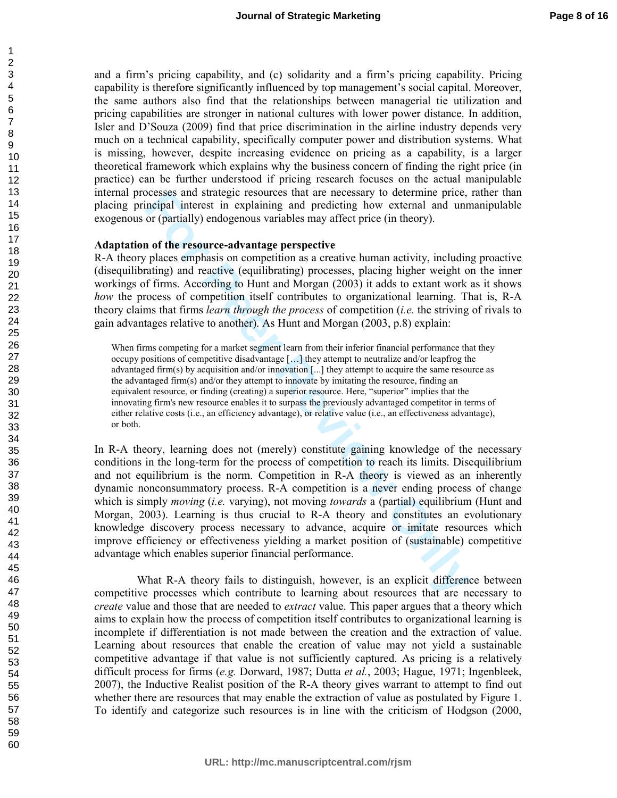and a firm's pricing capability, and (c) solidarity and a firm's pricing capability. Pricing capability is therefore significantly influenced by top management's social capital. Moreover, the same authors also find that the relationships between managerial tie utilization and pricing capabilities are stronger in national cultures with lower power distance. In addition, Isler and D'Souza (2009) find that price discrimination in the airline industry depends very much on a technical capability, specifically computer power and distribution systems. What is missing, however, despite increasing evidence on pricing as a capability, is a larger theoretical framework which explains why the business concern of finding the right price (in practice) can be further understood if pricing research focuses on the actual manipulable internal processes and strategic resources that are necessary to determine price, rather than placing principal interest in explaining and predicting how external and unmanipulable exogenous or (partially) endogenous variables may affect price (in theory).

### **Adaptation of the resource-advantage perspective**

R-A theory places emphasis on competition as a creative human activity, including proactive (disequilibrating) and reactive (equilibrating) processes, placing higher weight on the inner workings of firms. According to Hunt and Morgan (2003) it adds to extant work as it shows *how* the process of competition itself contributes to organizational learning. That is, R-A theory claims that firms *learn through the process* of competition (*i.e.* the striving of rivals to gain advantages relative to another). As Hunt and Morgan (2003, p.8) explain:

When firms competing for a market segment learn from their inferior financial performance that they occupy positions of competitive disadvantage […] they attempt to neutralize and/or leapfrog the advantaged firm(s) by acquisition and/or innovation [...] they attempt to acquire the same resource as the advantaged firm(s) and/or they attempt to innovate by imitating the resource, finding an equivalent resource, or finding (creating) a superior resource. Here, "superior" implies that the innovating firm's new resource enables it to surpass the previously advantaged competitor in terms of either relative costs (i.e., an efficiency advantage), or relative value (i.e., an effectiveness advantage), or both.

becomes and strategic resources that are necessary to determine price,<br>onesses and strategic resources that are necessary to determine price,<br>or (partially) endogenous variables may affect price (in theory).<br> **nof the reso** In R-A theory, learning does not (merely) constitute gaining knowledge of the necessary conditions in the long-term for the process of competition to reach its limits. Disequilibrium and not equilibrium is the norm. Competition in R-A theory is viewed as an inherently dynamic nonconsummatory process. R-A competition is a never ending process of change which is simply *moving* (*i.e.* varying), not moving *towards* a (partial) equilibrium (Hunt and Morgan, 2003). Learning is thus crucial to R-A theory and constitutes an evolutionary knowledge discovery process necessary to advance, acquire or imitate resources which improve efficiency or effectiveness yielding a market position of (sustainable) competitive advantage which enables superior financial performance.

What R-A theory fails to distinguish, however, is an explicit difference between competitive processes which contribute to learning about resources that are necessary to *create* value and those that are needed to *extract* value. This paper argues that a theory which aims to explain how the process of competition itself contributes to organizational learning is incomplete if differentiation is not made between the creation and the extraction of value. Learning about resources that enable the creation of value may not yield a sustainable competitive advantage if that value is not sufficiently captured. As pricing is a relatively difficult process for firms (*e.g.* Dorward, 1987; Dutta *et al.*, 2003; Hague, 1971; Ingenbleek, 2007), the Inductive Realist position of the R-A theory gives warrant to attempt to find out whether there are resources that may enable the extraction of value as postulated by Figure 1. To identify and categorize such resources is in line with the criticism of Hodgson (2000,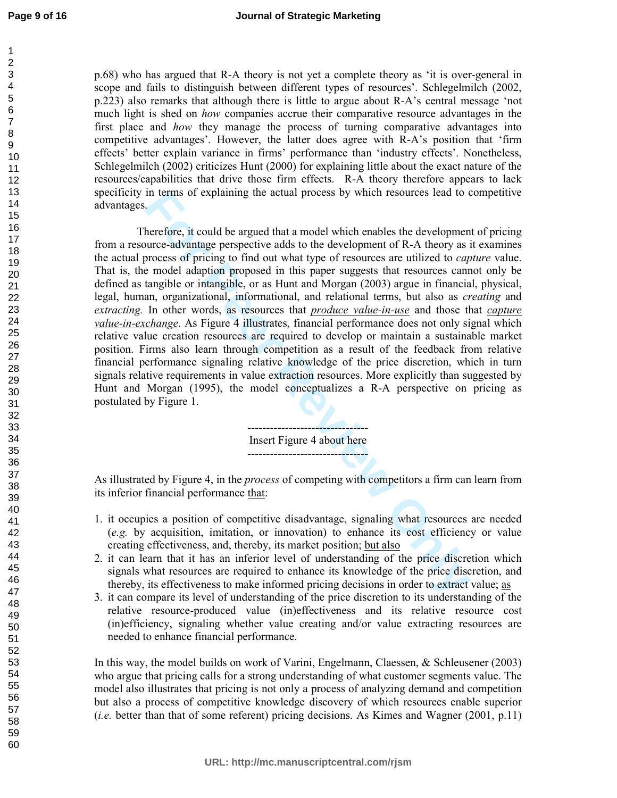p.68) who has argued that R-A theory is not yet a complete theory as 'it is over-general in scope and fails to distinguish between different types of resources'. Schlegelmilch (2002, p.223) also remarks that although there is little to argue about R-A's central message 'not much light is shed on *how* companies accrue their comparative resource advantages in the first place and *how* they manage the process of turning comparative advantages into competitive advantages'. However, the latter does agree with R-A's position that 'firm effects' better explain variance in firms' performance than 'industry effects'. Nonetheless, Schlegelmilch (2002) criticizes Hunt (2000) for explaining little about the exact nature of the resources/capabilities that drive those firm effects. R-A theory therefore appears to lack specificity in terms of explaining the actual process by which resources lead to competitive advantages.

In terms of explaning the actual process by which resources lead to c<br> **Exercute therefore**, it could be argued that a model which enables the development<br>
purce-advantage perspective adds to the development of R-A theory Therefore, it could be argued that a model which enables the development of pricing from a resource-advantage perspective adds to the development of R-A theory as it examines the actual process of pricing to find out what type of resources are utilized to *capture* value. That is, the model adaption proposed in this paper suggests that resources cannot only be defined as tangible or intangible, or as Hunt and Morgan (2003) argue in financial, physical, legal, human, organizational, informational, and relational terms, but also as *creating* and *extracting.* In other words, as resources that *produce value-in-use* and those that *capture value-in-exchange*. As Figure 4 illustrates, financial performance does not only signal which relative value creation resources are required to develop or maintain a sustainable market position. Firms also learn through competition as a result of the feedback from relative financial performance signaling relative knowledge of the price discretion, which in turn signals relative requirements in value extraction resources. More explicitly than suggested by Hunt and Morgan (1995), the model conceptualizes a R-A perspective on pricing as postulated by Figure 1.



As illustrated by Figure 4, in the *process* of competing with competitors a firm can learn from its inferior financial performance that:

- 1. it occupies a position of competitive disadvantage, signaling what resources are needed (*e.g.* by acquisition, imitation, or innovation) to enhance its cost efficiency or value creating effectiveness, and, thereby, its market position; but also
- 2. it can learn that it has an inferior level of understanding of the price discretion which signals what resources are required to enhance its knowledge of the price discretion, and thereby, its effectiveness to make informed pricing decisions in order to extract value; as
- 3. it can compare its level of understanding of the price discretion to its understanding of the relative resource-produced value (in)effectiveness and its relative resource cost (in)efficiency, signaling whether value creating and/or value extracting resources are needed to enhance financial performance.

In this way, the model builds on work of Varini, Engelmann, Claessen, & Schleusener (2003) who argue that pricing calls for a strong understanding of what customer segments value. The model also illustrates that pricing is not only a process of analyzing demand and competition but also a process of competitive knowledge discovery of which resources enable superior (*i.e.* better than that of some referent) pricing decisions. As Kimes and Wagner (2001, p.11)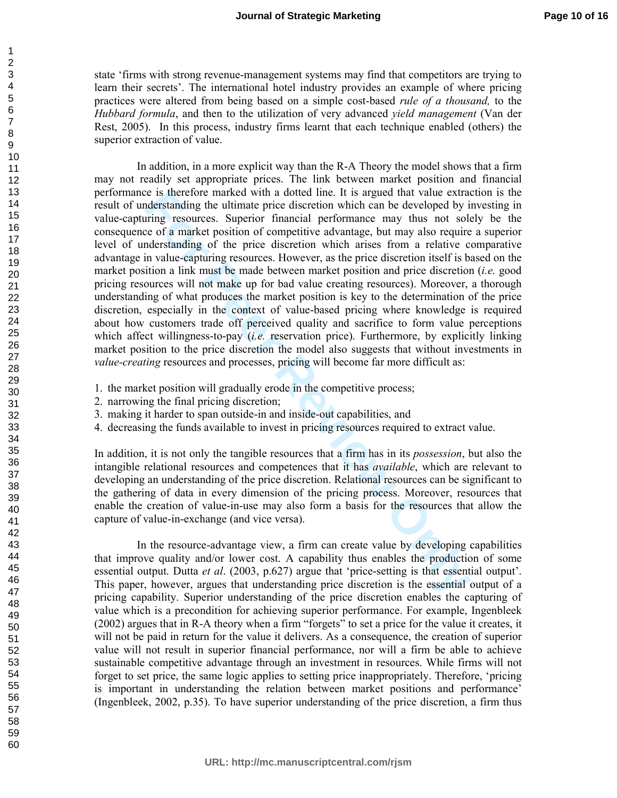state 'firms with strong revenue-management systems may find that competitors are trying to learn their secrets'. The international hotel industry provides an example of where pricing practices were altered from being based on a simple cost-based *rule of a thousand,* to the *Hubbard formula*, and then to the utilization of very advanced *yield management* (Van der Rest, 2005). In this process, industry firms learnt that each technique enabled (others) the superior extraction of value.

is is therefore marked with a dotted line. It is argued that value extracts of the action denoted by independing resources. Superior financial performance may thus not solonely iring resources. Superior financial performan In addition, in a more explicit way than the R-A Theory the model shows that a firm may not readily set appropriate prices. The link between market position and financial performance is therefore marked with a dotted line. It is argued that value extraction is the result of understanding the ultimate price discretion which can be developed by investing in value-capturing resources. Superior financial performance may thus not solely be the consequence of a market position of competitive advantage, but may also require a superior level of understanding of the price discretion which arises from a relative comparative advantage in value-capturing resources. However, as the price discretion itself is based on the market position a link must be made between market position and price discretion (*i.e.* good pricing resources will not make up for bad value creating resources). Moreover, a thorough understanding of what produces the market position is key to the determination of the price discretion, especially in the context of value-based pricing where knowledge is required about how customers trade off perceived quality and sacrifice to form value perceptions which affect willingness-to-pay (*i.e.* reservation price). Furthermore, by explicitly linking market position to the price discretion the model also suggests that without investments in *value-creating* resources and processes, pricing will become far more difficult as:

- 1. the market position will gradually erode in the competitive process;
- 2. narrowing the final pricing discretion;
- 3. making it harder to span outside-in and inside-out capabilities, and
- 4. decreasing the funds available to invest in pricing resources required to extract value.

In addition, it is not only the tangible resources that a firm has in its *possession*, but also the intangible relational resources and competences that it has *available*, which are relevant to developing an understanding of the price discretion. Relational resources can be significant to the gathering of data in every dimension of the pricing process. Moreover, resources that enable the creation of value-in-use may also form a basis for the resources that allow the capture of value-in-exchange (and vice versa).

In the resource-advantage view, a firm can create value by developing capabilities that improve quality and/or lower cost. A capability thus enables the production of some essential output. Dutta *et al*. (2003, p.627) argue that 'price-setting is that essential output'. This paper, however, argues that understanding price discretion is the essential output of a pricing capability. Superior understanding of the price discretion enables the capturing of value which is a precondition for achieving superior performance. For example, Ingenbleek (2002) argues that in R-A theory when a firm "forgets" to set a price for the value it creates, it will not be paid in return for the value it delivers. As a consequence, the creation of superior value will not result in superior financial performance, nor will a firm be able to achieve sustainable competitive advantage through an investment in resources. While firms will not forget to set price, the same logic applies to setting price inappropriately. Therefore, 'pricing is important in understanding the relation between market positions and performance' (Ingenbleek, 2002, p.35). To have superior understanding of the price discretion, a firm thus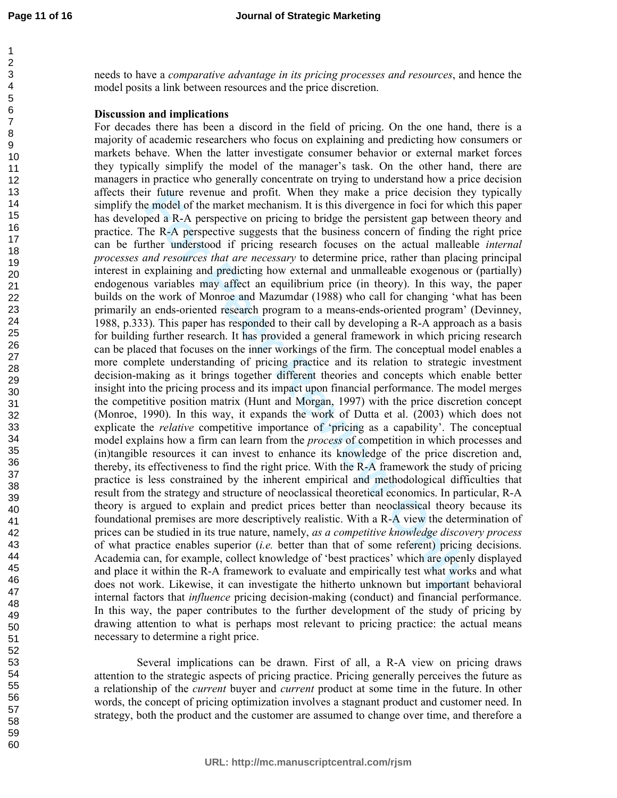needs to have a *comparative advantage in its pricing processes and resources*, and hence the model posits a link between resources and the price discretion.

### **Discussion and implications**

If their revenue and profit. When they make a price decision the<br>
Ir the model of the market mechanism. It is this divergence in foci for which<br>
peel a R-A perspective on pricing to bridge the persistent gap between<br>
he R-For decades there has been a discord in the field of pricing. On the one hand, there is a majority of academic researchers who focus on explaining and predicting how consumers or markets behave. When the latter investigate consumer behavior or external market forces they typically simplify the model of the manager's task. On the other hand, there are managers in practice who generally concentrate on trying to understand how a price decision affects their future revenue and profit. When they make a price decision they typically simplify the model of the market mechanism. It is this divergence in foci for which this paper has developed a R-A perspective on pricing to bridge the persistent gap between theory and practice. The R-A perspective suggests that the business concern of finding the right price can be further understood if pricing research focuses on the actual malleable *internal processes and resources that are necessary* to determine price, rather than placing principal interest in explaining and predicting how external and unmalleable exogenous or (partially) endogenous variables may affect an equilibrium price (in theory). In this way, the paper builds on the work of Monroe and Mazumdar (1988) who call for changing 'what has been primarily an ends-oriented research program to a means-ends-oriented program' (Devinney, 1988, p.333). This paper has responded to their call by developing a R-A approach as a basis for building further research. It has provided a general framework in which pricing research can be placed that focuses on the inner workings of the firm. The conceptual model enables a more complete understanding of pricing practice and its relation to strategic investment decision-making as it brings together different theories and concepts which enable better insight into the pricing process and its impact upon financial performance. The model merges the competitive position matrix (Hunt and Morgan, 1997) with the price discretion concept (Monroe, 1990). In this way, it expands the work of Dutta et al. (2003) which does not explicate the *relative* competitive importance of 'pricing as a capability'. The conceptual model explains how a firm can learn from the *process* of competition in which processes and (in)tangible resources it can invest to enhance its knowledge of the price discretion and, thereby, its effectiveness to find the right price. With the R-A framework the study of pricing practice is less constrained by the inherent empirical and methodological difficulties that result from the strategy and structure of neoclassical theoretical economics. In particular, R-A theory is argued to explain and predict prices better than neoclassical theory because its foundational premises are more descriptively realistic. With a R-A view the determination of prices can be studied in its true nature, namely, *as a competitive knowledge discovery process* of what practice enables superior (*i.e.* better than that of some referent) pricing decisions. Academia can, for example, collect knowledge of 'best practices' which are openly displayed and place it within the R-A framework to evaluate and empirically test what works and what does not work. Likewise, it can investigate the hitherto unknown but important behavioral internal factors that *influence* pricing decision-making (conduct) and financial performance. In this way, the paper contributes to the further development of the study of pricing by drawing attention to what is perhaps most relevant to pricing practice: the actual means necessary to determine a right price.

Several implications can be drawn. First of all, a R-A view on pricing draws attention to the strategic aspects of pricing practice. Pricing generally perceives the future as a relationship of the *current* buyer and *current* product at some time in the future. In other words, the concept of pricing optimization involves a stagnant product and customer need. In strategy, both the product and the customer are assumed to change over time, and therefore a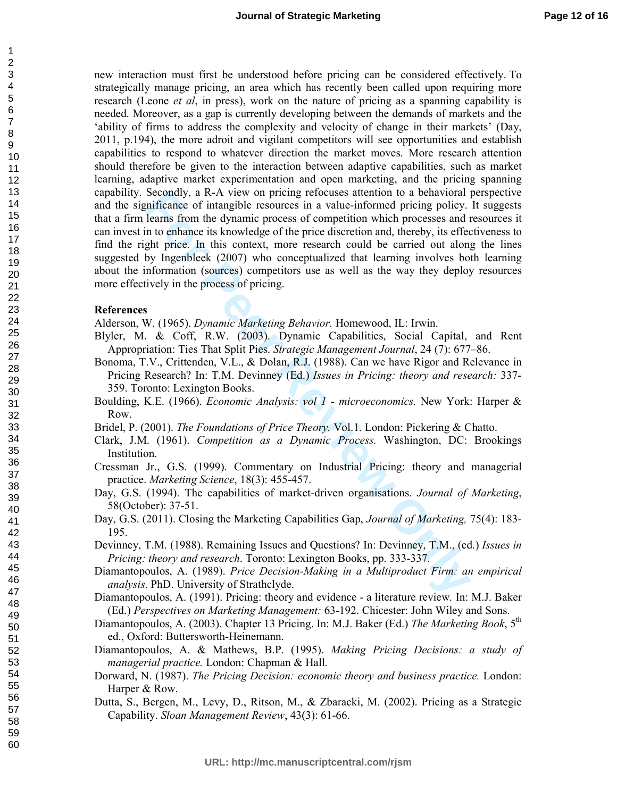Secondly, a R-A view on princing refocusses attention to a behavioral<br>minframe of intangible resources in a value-informed pricing policy.<br>Learns from the dynamic process of competition which processes and in<br>to enhance it new interaction must first be understood before pricing can be considered effectively. To strategically manage pricing, an area which has recently been called upon requiring more research (Leone *et al*, in press), work on the nature of pricing as a spanning capability is needed. Moreover, as a gap is currently developing between the demands of markets and the 'ability of firms to address the complexity and velocity of change in their markets' (Day, 2011, p.194), the more adroit and vigilant competitors will see opportunities and establish capabilities to respond to whatever direction the market moves. More research attention should therefore be given to the interaction between adaptive capabilities, such as market learning, adaptive market experimentation and open marketing, and the pricing spanning capability. Secondly, a R-A view on pricing refocuses attention to a behavioral perspective and the significance of intangible resources in a value-informed pricing policy. It suggests that a firm learns from the dynamic process of competition which processes and resources it can invest in to enhance its knowledge of the price discretion and, thereby, its effectiveness to find the right price. In this context, more research could be carried out along the lines suggested by Ingenbleek (2007) who conceptualized that learning involves both learning about the information (sources) competitors use as well as the way they deploy resources more effectively in the process of pricing.

### **References**

Alderson, W. (1965). *Dynamic Marketing Behavior.* Homewood, IL: Irwin.

Blyler, M. & Coff, R.W. (2003). Dynamic Capabilities, Social Capital, and Rent Appropriation: Ties That Split Pies. *Strategic Management Journal*, 24 (7): 677–86.

- Bonoma, T.V., Crittenden, V.L., & Dolan, R.J. (1988). Can we have Rigor and Relevance in Pricing Research? In: T.M. Devinney (Ed.) *Issues in Pricing: theory and research:* 337- 359. Toronto: Lexington Books.
- Boulding, K.E. (1966). *Economic Analysis: vol 1 microeconomics.* New York: Harper & Row.
- Bridel, P. (2001). *The Foundations of Price Theory.* Vol.1. London: Pickering & Chatto.
- Clark, J.M. (1961). *Competition as a Dynamic Process.* Washington, DC: Brookings Institution.
- Cressman Jr., G.S. (1999). Commentary on Industrial Pricing: theory and managerial practice. *Marketing Science*, 18(3): 455-457.
- Day, G.S. (1994). The capabilities of market-driven organisations. *Journal of Marketing*, 58(October): 37-51.
- Day, G.S. (2011). Closing the Marketing Capabilities Gap, *Journal of Marketing,* 75(4): 183- 195.

Devinney, T.M. (1988). Remaining Issues and Questions? In: Devinney, T.M., (ed.) *Issues in Pricing: theory and research*. Toronto: Lexington Books, pp. 333-337.

Diamantopoulos, A. (1989). *Price Decision-Making in a Multiproduct Firm: an empirical analysis*. PhD. University of Strathclyde.

Diamantopoulos, A. (1991). Pricing: theory and evidence - a literature review*.* In: M.J. Baker (Ed.) *Perspectives on Marketing Management:* 63-192. Chicester: John Wiley and Sons.

- Diamantopoulos, A. (2003). Chapter 13 Pricing. In: M.J. Baker (Ed.) *The Marketing Book*, 5<sup>th</sup> ed., Oxford: Buttersworth-Heinemann.
- Diamantopoulos, A. & Mathews, B.P. (1995). *Making Pricing Decisions: a study of managerial practice.* London: Chapman & Hall.
- Dorward, N. (1987). *The Pricing Decision: economic theory and business practice.* London: Harper & Row.
- Dutta, S., Bergen, M., Levy, D., Ritson, M., & Zbaracki, M. (2002). Pricing as a Strategic Capability. *Sloan Management Review*, 43(3): 61-66.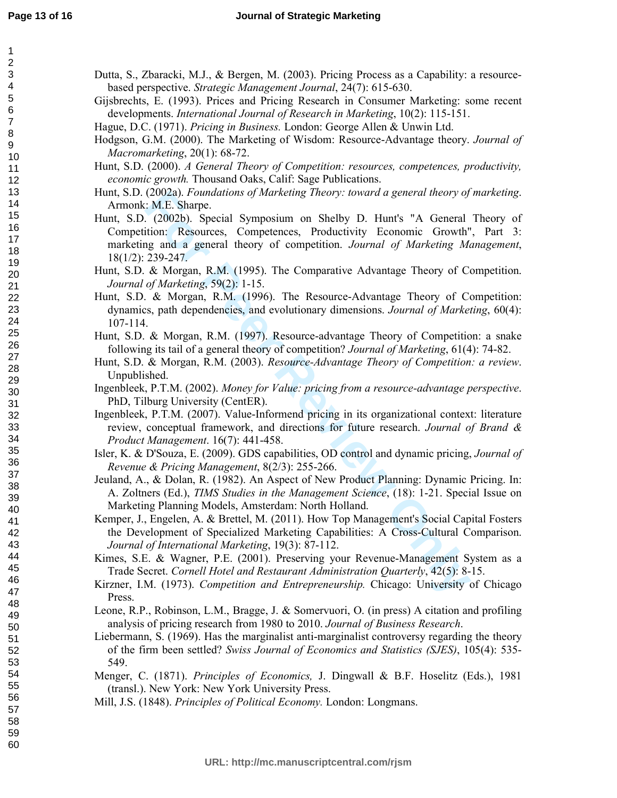|                               |                                                                                   | Dutta, S., Zbaracki, M.J., & Bergen, M. (2003). Pricing Process as a Capability: a resource-                                                                                             |
|-------------------------------|-----------------------------------------------------------------------------------|------------------------------------------------------------------------------------------------------------------------------------------------------------------------------------------|
|                               | based perspective. Strategic Management Journal, 24(7): 615-630.                  |                                                                                                                                                                                          |
|                               | developments. International Journal of Research in Marketing, 10(2): 115-151.     | Gijsbrechts, E. (1993). Prices and Pricing Research in Consumer Marketing: some recent                                                                                                   |
|                               | Hague, D.C. (1971). Pricing in Business. London: George Allen & Unwin Ltd.        |                                                                                                                                                                                          |
| Macromarketing, 20(1): 68-72. |                                                                                   | Hodgson, G.M. (2000). The Marketing of Wisdom: Resource-Advantage theory. Journal of                                                                                                     |
|                               | economic growth. Thousand Oaks, Calif: Sage Publications.                         | Hunt, S.D. (2000). A General Theory of Competition: resources, competences, productivity,                                                                                                |
| Armonk: M.E. Sharpe.          |                                                                                   | Hunt, S.D. (2002a). Foundations of Marketing Theory: toward a general theory of marketing.                                                                                               |
|                               |                                                                                   | Hunt, S.D. (2002b). Special Symposium on Shelby D. Hunt's "A General Theory of                                                                                                           |
|                               |                                                                                   | Competition: Resources, Competences, Productivity Economic Growth", Part 3:<br>marketing and a general theory of competition. Journal of Marketing Management,                           |
| 18(1/2): 239-247.             |                                                                                   |                                                                                                                                                                                          |
|                               | Journal of Marketing, 59(2): 1-15.                                                | Hunt, S.D. & Morgan, R.M. (1995). The Comparative Advantage Theory of Competition.                                                                                                       |
|                               |                                                                                   | Hunt, S.D. & Morgan, R.M. (1996). The Resource-Advantage Theory of Competition:                                                                                                          |
| 107-114.                      |                                                                                   | dynamics, path dependencies, and evolutionary dimensions. Journal of Marketing, 60(4):                                                                                                   |
|                               |                                                                                   | Hunt, S.D. & Morgan, R.M. (1997). Resource-advantage Theory of Competition: a snake                                                                                                      |
|                               |                                                                                   | following its tail of a general theory of competition? Journal of Marketing, 61(4): 74-82.                                                                                               |
|                               |                                                                                   | Hunt, S.D. & Morgan, R.M. (2003). Resource-Advantage Theory of Competition: a review.                                                                                                    |
| Unpublished.                  |                                                                                   |                                                                                                                                                                                          |
|                               |                                                                                   | Ingenbleek, P.T.M. (2002). Money for Value: pricing from a resource-advantage perspective.                                                                                               |
|                               | PhD, Tilburg University (CentER).                                                 |                                                                                                                                                                                          |
|                               |                                                                                   | Ingenbleek, P.T.M. (2007). Value-Informend pricing in its organizational context: literature                                                                                             |
|                               | Product Management. 16(7): 441-458.                                               | review, conceptual framework, and directions for future research. Journal of Brand &                                                                                                     |
|                               | Revenue & Pricing Management, 8(2/3): 255-266.                                    | Isler, K. & D'Souza, E. (2009). GDS capabilities, OD control and dynamic pricing, Journal of                                                                                             |
|                               |                                                                                   | Jeuland, A., & Dolan, R. (1982). An Aspect of New Product Planning: Dynamic Pricing. In:<br>A. Zoltners (Ed.), TIMS Studies in the Management Science, (18): 1-21. Special Issue on      |
|                               | Marketing Planning Models, Amsterdam: North Holland.                              |                                                                                                                                                                                          |
|                               |                                                                                   | Kemper, J., Engelen, A. & Brettel, M. (2011). How Top Management's Social Capital Fosters<br>the Development of Specialized Marketing Capabilities: A Cross-Cultural Comparison.         |
|                               | Journal of International Marketing, 19(3): 87-112.                                |                                                                                                                                                                                          |
|                               |                                                                                   | Kimes, S.E. & Wagner, P.E. (2001). Preserving your Revenue-Management System as a                                                                                                        |
|                               | Trade Secret. Cornell Hotel and Restaurant Administration Quarterly, 42(5): 8-15. |                                                                                                                                                                                          |
| Press.                        |                                                                                   | Kirzner, I.M. (1973). Competition and Entrepreneurship. Chicago: University of Chicago                                                                                                   |
|                               | analysis of pricing research from 1980 to 2010. Journal of Business Research.     | Leone, R.P., Robinson, L.M., Bragge, J. & Somervuori, O. (in press) A citation and profiling                                                                                             |
| 549.                          |                                                                                   | Liebermann, S. (1969). Has the marginalist anti-marginalist controversy regarding the theory<br>of the firm been settled? Swiss Journal of Economics and Statistics (SJES), 105(4): 535- |
|                               | (transl.). New York: New York University Press.                                   | Menger, C. (1871). Principles of Economics, J. Dingwall & B.F. Hoselitz (Eds.), 1981                                                                                                     |
|                               | Mill, J.S. (1848). Principles of Political Economy. London: Longmans.             |                                                                                                                                                                                          |
|                               |                                                                                   |                                                                                                                                                                                          |
|                               |                                                                                   |                                                                                                                                                                                          |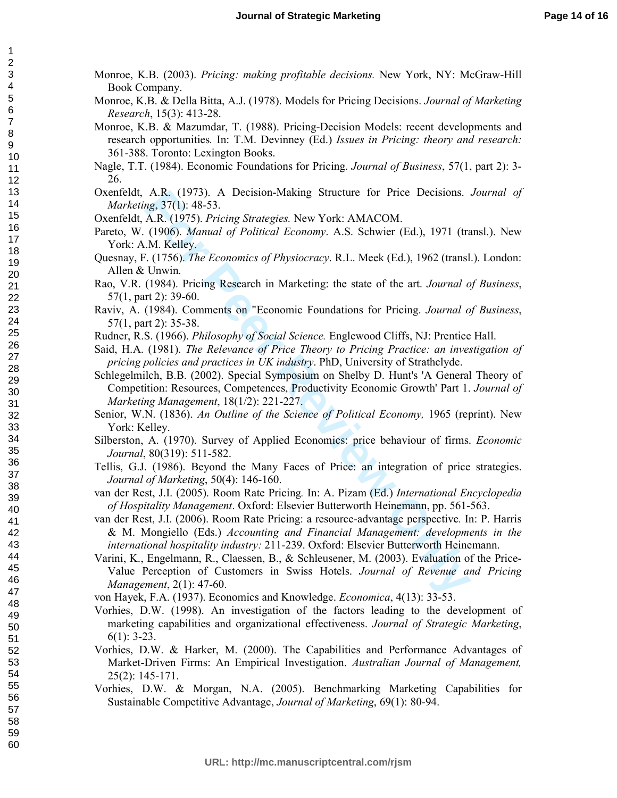- Monroe, K.B. (2003). *Pricing: making profitable decisions.* New York, NY: McGraw-Hill Book Company.
- Monroe, K.B. & Della Bitta, A.J. (1978). Models for Pricing Decisions. *Journal of Marketing Research*, 15(3): 413-28.
- Monroe, K.B. & Mazumdar, T. (1988). Pricing-Decision Models: recent developments and research opportunities*.* In: T.M. Devinney (Ed.) *Issues in Pricing: theory and research:*  361-388. Toronto: Lexington Books.
- Nagle, T.T. (1984). Economic Foundations for Pricing. *Journal of Business*, 57(1, part 2): 3- 26.
- Oxenfeldt, A.R. (1973). A Decision-Making Structure for Price Decisions. *Journal of Marketing*, 37(1): 48-53.
- Oxenfeldt, A.R. (1975). *Pricing Strategies.* New York: AMACOM.
- Pareto, W. (1906). *Manual of Political Economy*. A.S. Schwier (Ed.), 1971 (transl.). New York: A.M. Kelley.
- Quesnay, F. (1756). *The Economics of Physiocracy*. R.L. Meek (Ed.), 1962 (transl.). London: Allen & Unwin.
- Rao, V.R. (1984). Pricing Research in Marketing: the state of the art. *Journal of Business*, 57(1, part 2): 39-60.
- Raviv, A. (1984). Comments on "Economic Foundations for Pricing. *Journal of Business*, 57(1, part 2): 35-38.
- Rudner, R.S. (1966). *Philosophy of Social Science.* Englewood Cliffs, NJ: Prentice Hall.
- Said, H.A. (1981). *The Relevance of Price Theory to Pricing Practice: an investigation of pricing policies and practices in UK industry*. PhD, University of Strathclyde.
- A.R. (1975). *A* Decision-Making Structure for Price Decisions. A.R. (1975). *Pricing Strategies*. New York: AMACOM. (1906). *Manual of Political Economy*. A.S. Schwier (Ed.), 1971 (tra. (1906). *Manual of Political Econom* Schlegelmilch, B.B. (2002). Special Symposium on Shelby D. Hunt's 'A General Theory of Competition: Resources, Competences, Productivity Economic Growth' Part 1. *Journal of Marketing Management*, 18(1/2): 221-227.
- Senior, W.N. (1836). *An Outline of the Science of Political Economy,* 1965 (reprint). New York: Kelley.
- Silberston, A. (1970). Survey of Applied Economics: price behaviour of firms. *Economic Journal*, 80(319): 511-582.
- Tellis, G.J. (1986). Beyond the Many Faces of Price: an integration of price strategies. *Journal of Marketing*, 50(4): 146-160.
- van der Rest, J.I. (2005). Room Rate Pricing*.* In: A. Pizam (Ed.) *International Encyclopedia of Hospitality Management*. Oxford: Elsevier Butterworth Heinemann, pp. 561-563.
- van der Rest, J.I. (2006). Room Rate Pricing: a resource-advantage perspective*.* In: P. Harris & M. Mongiello (Eds.) *Accounting and Financial Management: developments in the international hospitality industry:* 211-239. Oxford: Elsevier Butterworth Heinemann.
- Varini, K., Engelmann, R., Claessen, B., & Schleusener, M. (2003). Evaluation of the Price-Value Perception of Customers in Swiss Hotels. *Journal of Revenue and Pricing Management*, 2(1): 47-60.
- von Hayek, F.A. (1937). Economics and Knowledge. *Economica*, 4(13): 33-53.
- Vorhies, D.W. (1998). An investigation of the factors leading to the development of marketing capabilities and organizational effectiveness. *Journal of Strategic Marketing*, 6(1): 3-23.
- Vorhies, D.W. & Harker, M. (2000). The Capabilities and Performance Advantages of Market-Driven Firms: An Empirical Investigation. *Australian Journal of Management,*  25(2): 145-171.
- Vorhies, D.W. & Morgan, N.A. (2005). Benchmarking Marketing Capabilities for Sustainable Competitive Advantage, *Journal of Marketing*, 69(1): 80-94.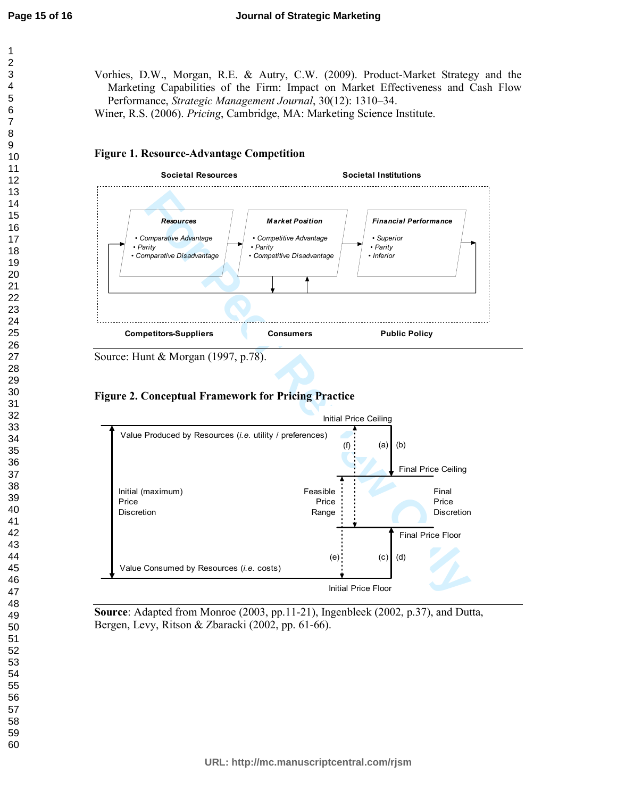Vorhies, D.W., Morgan, R.E. & Autry, C.W. (2009). Product-Market Strategy and the Marketing Capabilities of the Firm: Impact on Market Effectiveness and Cash Flow Performance, *Strategic Management Journal*, 30(12): 1310–34.

Winer, R.S. (2006). *Pricing*, Cambridge, MA: Marketing Science Institute.

### **Figure 1. Resource-Advantage Competition**



Source: Hunt & Morgan (1997, p.78).

# **Figure 2. Conceptual Framework for Pricing Practice**



**Source**: Adapted from Monroe (2003, pp.11-21), Ingenbleek (2002, p.37), and Dutta, Bergen, Levy, Ritson & Zbaracki (2002, pp. 61-66).